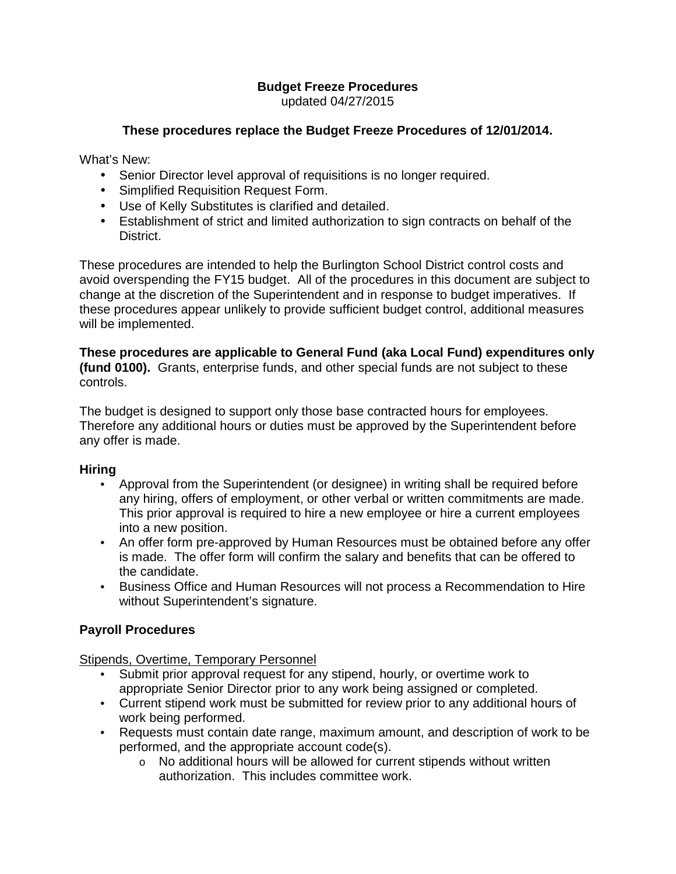# **Budget Freeze Procedures**

updated 04/27/2015

### **These procedures replace the Budget Freeze Procedures of 12/01/2014.**

What's New:

- Senior Director level approval of requisitions is no longer required.
- Simplified Requisition Request Form.
- Use of Kelly Substitutes is clarified and detailed.
- Establishment of strict and limited authorization to sign contracts on behalf of the District.

These procedures are intended to help the Burlington School District control costs and avoid overspending the FY15 budget. All of the procedures in this document are subject to change at the discretion of the Superintendent and in response to budget imperatives. If these procedures appear unlikely to provide sufficient budget control, additional measures will be implemented.

**These procedures are applicable to General Fund (aka Local Fund) expenditures only (fund 0100).** Grants, enterprise funds, and other special funds are not subject to these controls.

The budget is designed to support only those base contracted hours for employees. Therefore any additional hours or duties must be approved by the Superintendent before any offer is made.

### **Hiring**

- Approval from the Superintendent (or designee) in writing shall be required before any hiring, offers of employment, or other verbal or written commitments are made. This prior approval is required to hire a new employee or hire a current employees into a new position.
- An offer form pre-approved by Human Resources must be obtained before any offer is made. The offer form will confirm the salary and benefits that can be offered to the candidate.
- Business Office and Human Resources will not process a Recommendation to Hire without Superintendent's signature.

### **Payroll Procedures**

Stipends, Overtime, Temporary Personnel

- Submit prior approval request for any stipend, hourly, or overtime work to appropriate Senior Director prior to any work being assigned or completed.
- Current stipend work must be submitted for review prior to any additional hours of work being performed.
- Requests must contain date range, maximum amount, and description of work to be performed, and the appropriate account code(s).
	- o No additional hours will be allowed for current stipends without written authorization. This includes committee work.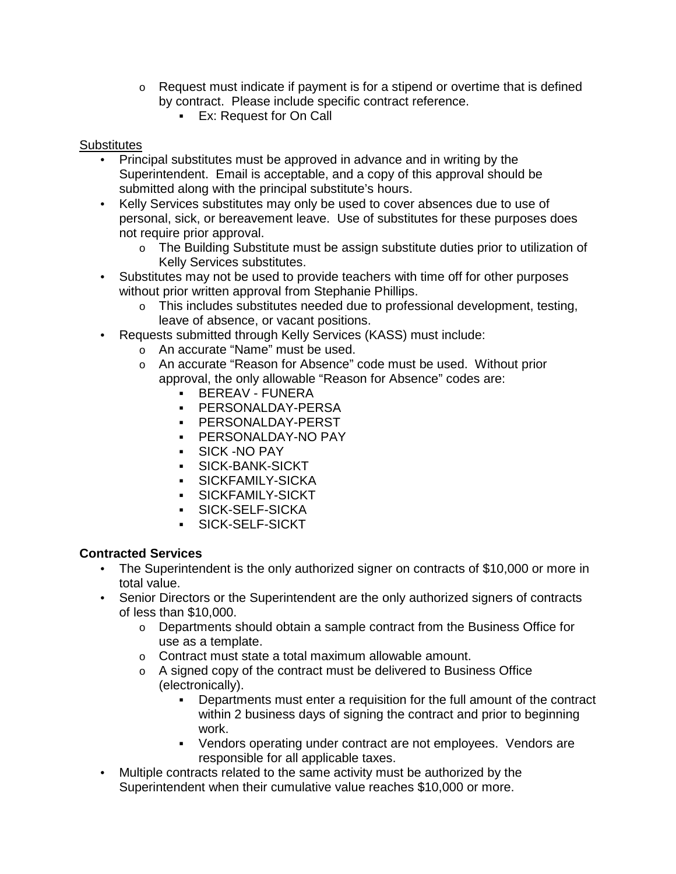- $\circ$  Request must indicate if payment is for a stipend or overtime that is defined by contract. Please include specific contract reference.
	- **Ex: Request for On Call**

### **Substitutes**

- Principal substitutes must be approved in advance and in writing by the Superintendent. Email is acceptable, and a copy of this approval should be submitted along with the principal substitute's hours.
- Kelly Services substitutes may only be used to cover absences due to use of personal, sick, or bereavement leave. Use of substitutes for these purposes does not require prior approval.
	- $\circ$  The Building Substitute must be assign substitute duties prior to utilization of Kelly Services substitutes.
- Substitutes may not be used to provide teachers with time off for other purposes without prior written approval from Stephanie Phillips.
	- o This includes substitutes needed due to professional development, testing, leave of absence, or vacant positions.
- Requests submitted through Kelly Services (KASS) must include:
	- o An accurate "Name" must be used.
	- o An accurate "Reason for Absence" code must be used. Without prior approval, the only allowable "Reason for Absence" codes are:
		- BEREAV FUNERA
		- **PERSONALDAY-PERSA**
		- PERSONALDAY-PERST
		- PERSONALDAY-NO PAY
		- SICK -NO PAY
		- SICK-BANK-SICKT
		- SICKFAMILY-SICKA
		- SICKFAMILY-SICKT
		- SICK-SELF-SICKA
		- SICK-SELF-SICKT

### **Contracted Services**

- The Superintendent is the only authorized signer on contracts of \$10,000 or more in total value.
- Senior Directors or the Superintendent are the only authorized signers of contracts of less than \$10,000.
	- $\circ$  Departments should obtain a sample contract from the Business Office for use as a template.
	- o Contract must state a total maximum allowable amount.
	- $\circ$  A signed copy of the contract must be delivered to Business Office (electronically).
		- Departments must enter a requisition for the full amount of the contract within 2 business days of signing the contract and prior to beginning work.
		- Vendors operating under contract are not employees. Vendors are responsible for all applicable taxes.
- Multiple contracts related to the same activity must be authorized by the Superintendent when their cumulative value reaches \$10,000 or more.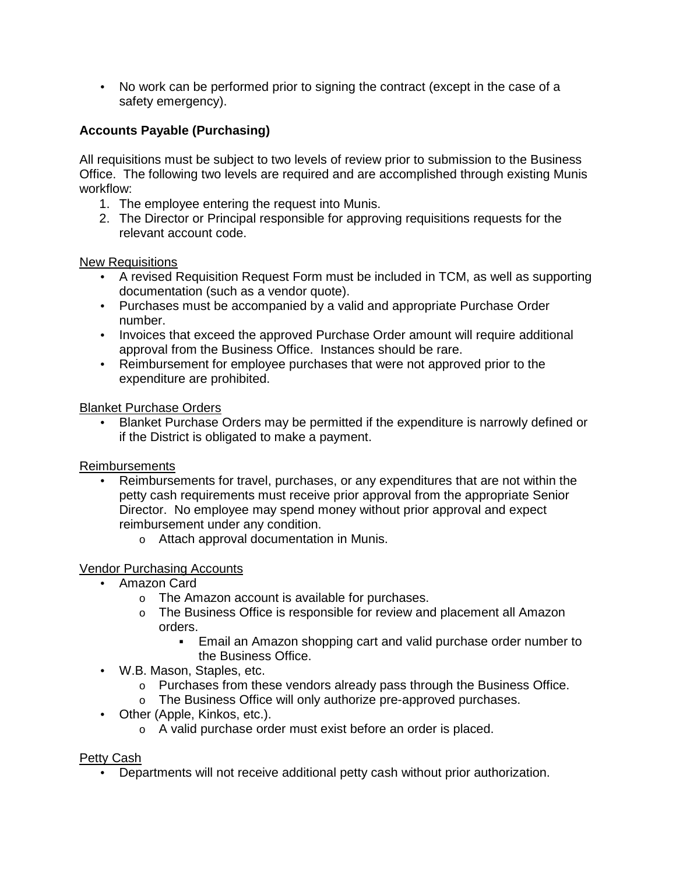• No work can be performed prior to signing the contract (except in the case of a safety emergency).

## **Accounts Payable (Purchasing)**

All requisitions must be subject to two levels of review prior to submission to the Business Office. The following two levels are required and are accomplished through existing Munis workflow:

- 1. The employee entering the request into Munis.
- 2. The Director or Principal responsible for approving requisitions requests for the relevant account code.

New Requisitions

- A revised Requisition Request Form must be included in TCM, as well as supporting documentation (such as a vendor quote).
- Purchases must be accompanied by a valid and appropriate Purchase Order number.
- Invoices that exceed the approved Purchase Order amount will require additional approval from the Business Office. Instances should be rare.
- Reimbursement for employee purchases that were not approved prior to the expenditure are prohibited.

Blanket Purchase Orders

• Blanket Purchase Orders may be permitted if the expenditure is narrowly defined or if the District is obligated to make a payment.

Reimbursements

- Reimbursements for travel, purchases, or any expenditures that are not within the petty cash requirements must receive prior approval from the appropriate Senior Director. No employee may spend money without prior approval and expect reimbursement under any condition.
	- o Attach approval documentation in Munis.

### Vendor Purchasing Accounts

- Amazon Card
	- o The Amazon account is available for purchases.
	- o The Business Office is responsible for review and placement all Amazon orders.
		- Email an Amazon shopping cart and valid purchase order number to the Business Office.
- W.B. Mason, Staples, etc.
	- o Purchases from these vendors already pass through the Business Office.
	- o The Business Office will only authorize pre-approved purchases.
- Other (Apple, Kinkos, etc.).
	- o A valid purchase order must exist before an order is placed.

### Petty Cash

• Departments will not receive additional petty cash without prior authorization.